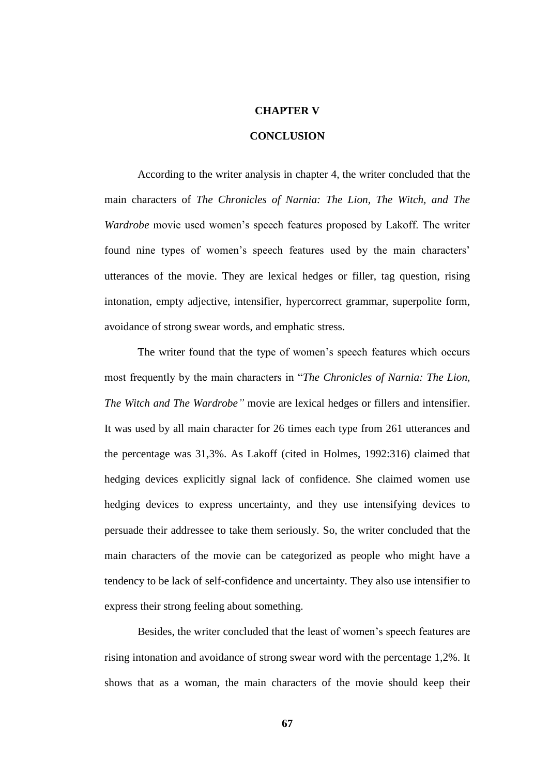## **CHAPTER V**

## **CONCLUSION**

According to the writer analysis in chapter 4, the writer concluded that the main characters of *The Chronicles of Narnia: The Lion, The Witch, and The Wardrobe* movie used women's speech features proposed by Lakoff. The writer found nine types of women's speech features used by the main characters' utterances of the movie. They are lexical hedges or filler, tag question, rising intonation, empty adjective, intensifier, hypercorrect grammar, superpolite form, avoidance of strong swear words, and emphatic stress.

The writer found that the type of women's speech features which occurs most frequently by the main characters in "*The Chronicles of Narnia: The Lion, The Witch and The Wardrobe"* movie are lexical hedges or fillers and intensifier. It was used by all main character for 26 times each type from 261 utterances and the percentage was 31,3%. As Lakoff (cited in Holmes, 1992:316) claimed that hedging devices explicitly signal lack of confidence. She claimed women use hedging devices to express uncertainty, and they use intensifying devices to persuade their addressee to take them seriously. So, the writer concluded that the main characters of the movie can be categorized as people who might have a tendency to be lack of self-confidence and uncertainty. They also use intensifier to express their strong feeling about something.

Besides, the writer concluded that the least of women's speech features are rising intonation and avoidance of strong swear word with the percentage 1,2%. It shows that as a woman, the main characters of the movie should keep their